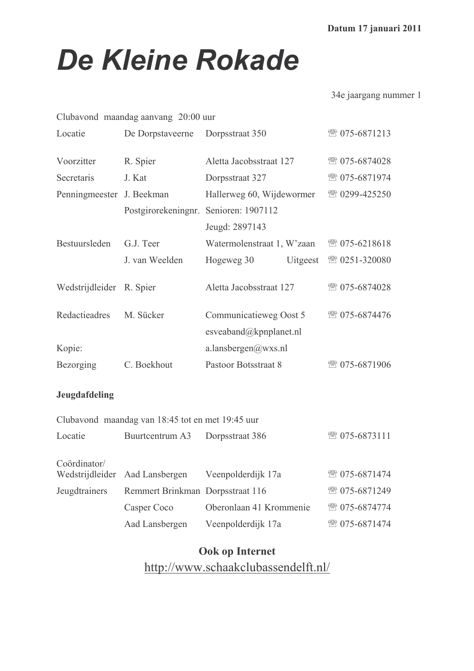# **De Kleine Rokade**

34e jaargang nummer 1

| Clubavond maandag aanvang 20:00 uur |                                                  |                            |          |               |  |  |
|-------------------------------------|--------------------------------------------------|----------------------------|----------|---------------|--|--|
| Locatie                             | De Dorpstaveerne                                 | Dorpsstraat 350            |          | ☎ 075-6871213 |  |  |
| Voorzitter                          | R. Spier                                         | Aletta Jacobsstraat 127    |          | ☎ 075-6874028 |  |  |
| Secretaris                          | J. Kat                                           | Dorpsstraat 327            |          | ☎ 075-6871974 |  |  |
| Penningmeester J. Beekman           |                                                  | Hallerweg 60, Wijdewormer  |          | ☎ 0299-425250 |  |  |
|                                     | Postgirorekeningnr. Senioren: 1907112            |                            |          |               |  |  |
|                                     |                                                  | Jeugd: 2897143             |          |               |  |  |
| Bestuursleden                       | G.J. Teer                                        | Watermolenstraat 1, W'zaan |          | ☎ 075-6218618 |  |  |
|                                     | J. van Weelden                                   | Hogeweg 30                 | Uitgeest | ☎ 0251-320080 |  |  |
| Wedstrijdleider R. Spier            |                                                  | Aletta Jacobsstraat 127    |          | ☎ 075-6874028 |  |  |
| Redactieadres                       | M. Sücker                                        | Communicatieweg Oost 5     |          | ☎ 075-6874476 |  |  |
|                                     |                                                  | esveaband@kpnplanet.nl     |          |               |  |  |
| Kopie:                              |                                                  | a.lansbergen@wxs.nl        |          |               |  |  |
| Bezorging                           | C. Boekhout                                      | Pastoor Botsstraat 8       |          | ☎ 075-6871906 |  |  |
| Jeugdafdeling                       |                                                  |                            |          |               |  |  |
|                                     | Clubavond maandag van 18:45 tot en met 19:45 uur |                            |          |               |  |  |
| Locatie                             | Buurtcentrum A3                                  | Dorpsstraat 386            |          | ☎ 075-6873111 |  |  |

| Coördinator/  | Wedstrijdleider Aad Lansbergen   | Veenpolderdijk 17a      | ☎ 075-6871474 |
|---------------|----------------------------------|-------------------------|---------------|
| Jeugdtrainers | Remmert Brinkman Dorpsstraat 116 |                         | ☎ 075-6871249 |
|               | Casper Coco                      | Oberonlaan 41 Krommenie | ☎ 075-6874774 |
|               | Aad Lansbergen                   | Veenpolderdijk 17a      | ☎ 075-6871474 |

# Ook op Internet http://www.schaakclubassendelft.nl/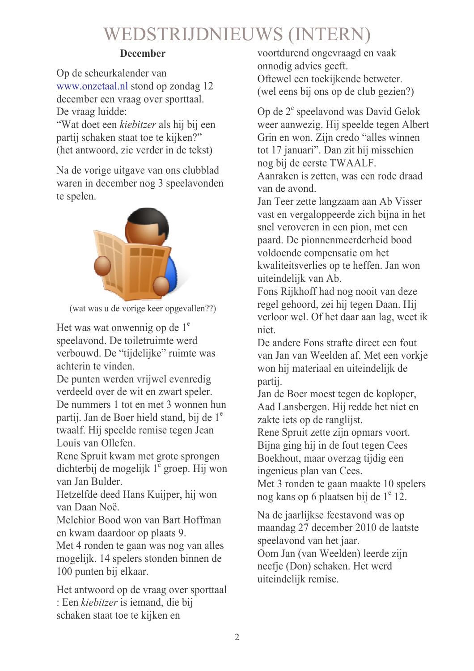# WEDSTRIJDNIEUWS (INTERN)

### **December**

Op de scheurkalender van www.onzetaal.nl stond op zondag 12 december een vraag over sporttaal. De vraag luidde:

"Wat doet een *kiebitzer* als hij bij een partij schaken staat toe te kijken?" (het antwoord, zie verder in de tekst)

Na de vorige uitgave van ons clubblad waren in december nog 3 speelavonden te spelen.



(wat was u de vorige keer opgevallen??)

Het was wat onwennig op de  $1^e$ speelavond. De toiletruimte werd verbouwd. De "tijdelijke" ruimte was achterin te vinden.

De punten werden vrijwel evenredig verdeeld over de wit en zwart speler. De nummers 1 tot en met 3 wonnen hun partij. Jan de Boer hield stand, bij de 1<sup>e</sup> twaalf. Hij speelde remise tegen Jean Louis van Ollefen.

Rene Spruit kwam met grote sprongen dichterbij de mogelijk  $1^e$  groep. Hij won van Jan Bulder.

Hetzelfde deed Hans Kuijper, hij won van Daan Noë.

Melchior Bood won van Bart Hoffman en kwam daardoor op plaats 9.

Met 4 ronden te gaan was nog van alles mogelijk. 14 spelers stonden binnen de 100 punten bij elkaar.

Het antwoord op de vraag over sporttaal : Een *kiebitzer* is iemand, die bij schaken staat toe te kijken en

voortdurend ongevraagd en vaak onnodig advies geeft. Oftewel een toekijkende betweter. (wel eens bij ons op de club gezien?)

Op de 2<sup>e</sup> speelavond was David Gelok weer aanwezig. Hij speelde tegen Albert Grin en won. Zijn credo "alles winnen tot 17 januari". Dan zit hij misschien nog bij de eerste TWAALF. Aanraken is zetten, was een rode draad van de avond

Jan Teer zette langzaam aan Ab Visser vast en vergaloppeerde zich bijna in het snel veroveren in een pion, met een paard. De pionnenmeerderheid bood voldoende compensatie om het kwaliteitsverlies op te heffen. Jan won uiteindelijk van Ab.

Fons Rijkhoff had nog nooit van deze regel gehoord, zei hij tegen Daan. Hij verloor wel. Of het daar aan lag, weet ik niet.

De andere Fons strafte direct een fout van Jan van Weelden af. Met een vorkje won hij materiaal en uiteindelijk de partii.

Jan de Boer moest tegen de koploper, Aad Lansbergen. Hij redde het niet en zakte jets op de ranglijst.

Rene Spruit zette zijn opmars voort. Bijna ging hij in de fout tegen Cees Boekhout, maar overzag tijdig een ingenieus plan van Cees.

Met 3 ronden te gaan maakte 10 spelers nog kans op 6 plaatsen bij de 1<sup>e</sup> 12.

Na de jaarlijkse feestavond was op maandag 27 december 2010 de laatste speelavond van het jaar.

Oom Jan (van Weelden) leerde zijn neefje (Don) schaken. Het werd uiteindelijk remise.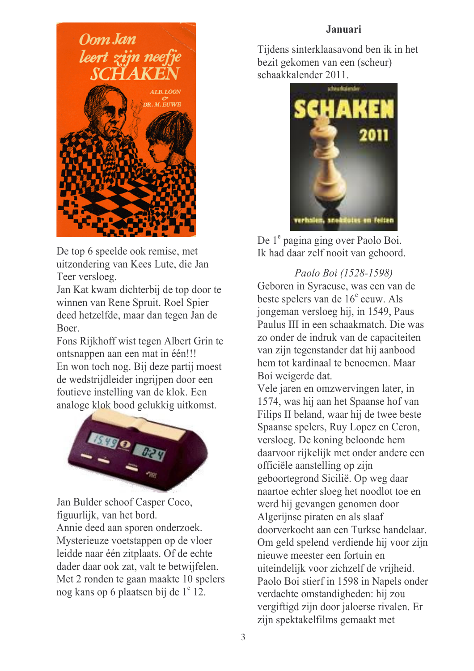### Januari



De top 6 speelde ook remise, met uitzondering van Kees Lute, die Jan Teer versloeg.

Jan Kat kwam dichterbij de top door te winnen van Rene Spruit. Roel Spier deed hetzelfde, maar dan tegen Jan de **Boer** 

Fons Rijkhoff wist tegen Albert Grin te ontsnappen aan een mat in één!!! En won toch nog. Bij deze partij moest de wedstrijdleider ingrijpen door een foutieve instelling van de klok. Een analoge klok bood gelukkig uitkomst.



Jan Bulder schoof Casper Coco. figuurlijk, van het bord. Annie deed aan sporen onderzoek. Mysterieuze voetstappen op de vloer leidde naar één zitplaats. Of de echte dader daar ook zat, valt te betwijfelen. Met 2 ronden te gaan maakte 10 spelers nog kans op 6 plaatsen bij de 1<sup>e</sup> 12.

Tijdens sinterklaasavond ben ik in het bezit gekomen van een (scheur) schaakkalender 2011.



De 1<sup>e</sup> pagina ging over Paolo Boi. Ik had daar zelf nooit van gehoord.

Paolo Boi (1528-1598) Geboren in Syracuse, was een van de beste spelers van de 16<sup>e</sup> eeuw. Als jongeman versloeg hij, in 1549, Paus Paulus III in een schaakmatch. Die was zo onder de indruk van de capaciteiten van zijn tegenstander dat hij aanbood hem tot kardinaal te benoemen. Maar Boi weigerde dat.

Vele jaren en omzwervingen later, in 1574, was hij aan het Spaanse hof van Filips II beland, waar hij de twee beste Spaanse spelers, Ruy Lopez en Ceron, versloeg. De koning beloonde hem daarvoor rijkelijk met onder andere een officiële aanstelling op zijn geboortegrond Sicilië. Op weg daar naartoe echter sloeg het noodlot toe en werd hij gevangen genomen door Algerijnse piraten en als slaaf doorverkocht aan een Turkse handelaar. Om geld spelend verdiende hij voor zijn nieuwe meester een fortuin en uiteindelijk voor zichzelf de vrijheid. Paolo Boi stierf in 1598 in Napels onder verdachte omstandigheden: hij zou vergiftigd zijn door jaloerse rivalen. Er zijn spektakelfilms gemaakt met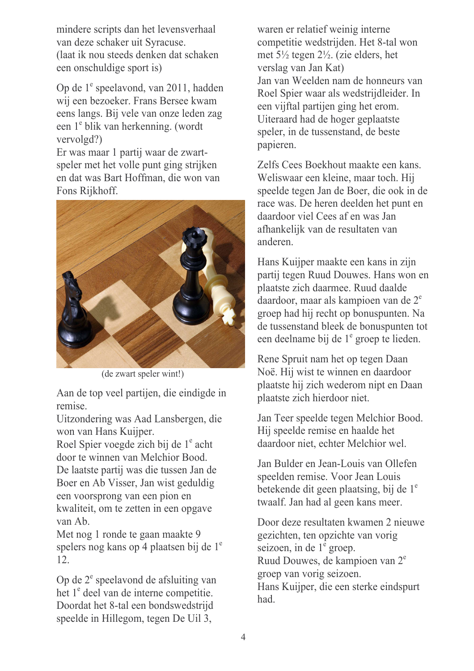mindere scripts dan het levensverhaal van deze schaker uit Syracuse. (laat ik nou steeds denken dat schaken) een onschuldige sport is)

Op de 1<sup>e</sup> speelavond, van 2011, hadden wij een bezoeker. Frans Bersee kwam eens langs. Bij vele van onze leden zag een 1<sup>e</sup> blik van herkenning. (wordt vervolgd?)

Er was maar 1 partij waar de zwartspeler met het volle punt ging strijken en dat was Bart Hoffman, die won van Fons Rijkhoff.



(de zwart speler wint!)

Aan de top veel partijen, die eindigde in remise.

Uitzondering was Aad Lansbergen, die won van Hans Kuijper.

Roel Spier voegde zich bij de 1<sup>e</sup> acht door te winnen van Melchior Bood. De laatste partij was die tussen Jan de Boer en Ab Visser, Jan wist geduldig een voorsprong van een pion en kwaliteit, om te zetten in een opgave van Ab

Met nog 1 ronde te gaan maakte 9 spelers nog kans op 4 plaatsen bij de 1<sup>e</sup>  $12<sup>°</sup>$ 

Op de 2<sup>e</sup> speelavond de afsluiting van het 1<sup>e</sup> deel van de interne competitie. Doordat het 8-tal een bondswedstrijd speelde in Hillegom, tegen De Uil 3,

waren er relatief weinig interne competitie wedstrijden. Het 8-tal won met  $5\frac{1}{2}$  tegen  $2\frac{1}{2}$ . (zie elders, het verslag van Jan Kat) Jan van Weelden nam de honneurs van Roel Spier waar als wedstrijdleider. In een vijftal partijen ging het erom. Uiteraard had de hoger geplaatste speler, in de tussenstand, de beste papieren.

Zelfs Cees Boekhout maakte een kans. Weliswaar een kleine, maar toch. Hij speelde tegen Jan de Boer, die ook in de race was. De heren deelden het punt en daardoor viel Cees af en was Jan afhankelijk van de resultaten van anderen

Hans Kuijper maakte een kans in zijn partij tegen Ruud Douwes. Hans won en plaatste zich daarmee. Ruud daalde daardoor, maar als kampioen van de 2<sup>e</sup> groep had hij recht op bonuspunten. Na de tussenstand bleek de bonuspunten tot een deelname bij de 1<sup>e</sup> groep te lieden.

Rene Spruit nam het op tegen Daan Noë. Hij wist te winnen en daardoor plaatste hij zich wederom nipt en Daan plaatste zich hierdoor niet.

Jan Teer speelde tegen Melchior Bood. Hij speelde remise en haalde het daardoor niet, echter Melchior wel.

Jan Bulder en Jean-Louis van Ollefen speelden remise. Voor Jean Louis betekende dit geen plaatsing, bij de 1<sup>e</sup> twaalf. Jan had al geen kans meer.

Door deze resultaten kwamen 2 nieuwe gezichten, ten opzichte van vorig seizoen, in de  $1^{\circ}$  groep. Ruud Douwes, de kampioen van 2<sup>e</sup> groep van vorig seizoen. Hans Kuijper, die een sterke eindspurt had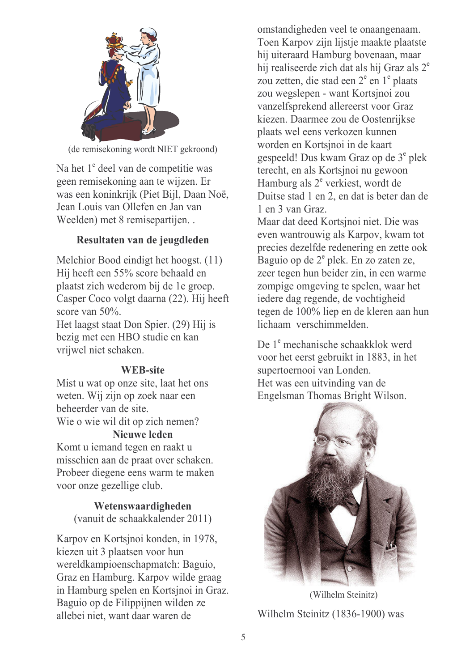

(de remisekoning wordt NIET gekroond)

Na het 1<sup>e</sup> deel van de competitie was geen remisekoning aan te wijzen. Er was een koninkrijk (Piet Bijl, Daan Noë, Jean Louis van Ollefen en Jan van Weelden) met 8 remisepartijen...

# Resultaten van de jeugdleden

Melchior Bood eindigt het hoogst. (11) Hij heeft een 55% score behaald en plaatst zich wederom bij de 1e groep. Casper Coco volgt daarna (22). Hij heeft score van  $50\%$ .

Het laagst staat Don Spier. (29) Hij is bezig met een HBO studie en kan vrijwel niet schaken.

# **WEB-site**

Mist u wat op onze site, laat het ons weten. Wij zijn op zoek naar een beheerder van de site. Wie o wie wil dit op zich nemen?

**Nieuwe leden** 

Komt u jemand tegen en raakt u misschien aan de praat over schaken. Probeer diegene eens warm te maken voor onze gezellige club.

> Wetenswaardigheden (vanuit de schaakkalender 2011)

Karpov en Kortsjnoi konden, in 1978, kiezen uit 3 plaatsen voor hun wereldkampioenschapmatch: Baguio, Graz en Hamburg. Karpov wilde graag in Hamburg spelen en Kortsjnoi in Graz. Baguio op de Filippijnen wilden ze allebei niet, want daar waren de

omstandigheden veel te onaangenaam. Toen Karpov zijn lijstie maakte plaatste hij uiteraard Hamburg bovenaan, maar hij realiseerde zich dat als hij Graz als 2<sup>e</sup> zou zetten, die stad een 2<sup>e</sup> en 1<sup>e</sup> plaats zou wegslepen - want Kortsinoi zou vanzelfsprekend allereerst voor Graz kiezen. Daarmee zou de Oostenrijkse plaats wel eens verkozen kunnen worden en Kortsinoi in de kaart gespeeld! Dus kwam Graz op de 3<sup>e</sup> plek terecht, en als Kortsinoi nu gewoon Hamburg als  $2^e$  verkiest, wordt de Duitse stad 1 en 2, en dat is beter dan de 1 en 3 van Graz.

Maar dat deed Kortsjnoi niet. Die was even wantrouwig als Karpov, kwam tot precies dezelfde redenering en zette ook Baguio op de  $2^e$  plek. En zo zaten ze, zeer tegen hun beider zin, in een warme zompige omgeving te spelen, waar het iedere dag regende, de vochtigheid tegen de 100% liep en de kleren aan hun lichaam verschimmelden

De 1<sup>e</sup> mechanische schaakklok werd voor het eerst gebruikt in 1883, in het supertoernooi van Londen. Het was een uitvinding van de Engelsman Thomas Bright Wilson.



(Wilhelm Steinitz) Wilhelm Steinitz (1836-1900) was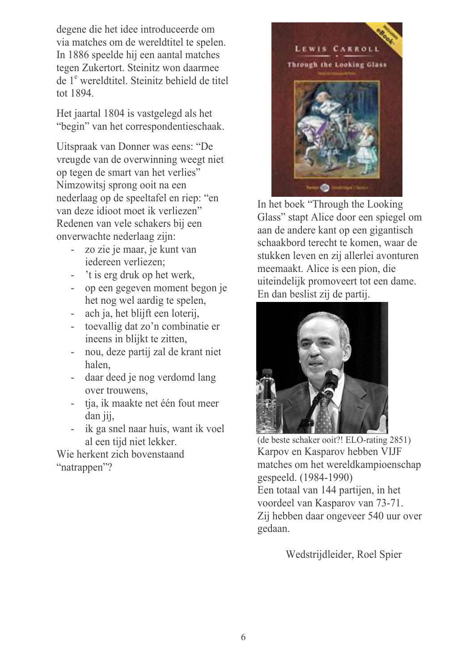degene die het idee introduceerde om via matches om de wereldtitel te spelen. In 1886 speelde hij een aantal matches tegen Zukertort. Steinitz won daarmee de 1<sup>e</sup> wereldtitel. Steinitz behield de titel tot 1894

Het jaartal 1804 is vastgelegd als het "begin" van het correspondentieschaak.

Uitspraak van Donner was eens: "De vreugde van de overwinning weegt niet op tegen de smart van het verlies" Nimzowitsi sprong ooit na een nederlaag op de speeltafel en riep: "en van deze idioot moet ik verliezen" Redenen van vele schakers bij een onverwachte nederlaag zijn:

- zo zie je maar, je kunt van iedereen verliezen;
- 't is erg druk op het werk.
- op een gegeven moment begon je het nog wel aardig te spelen,
- ach ja, het blijft een loterij,
- to evallig dat zo'n combinatie er ineens in blijkt te zitten,
- nou, deze partij zal de krant niet halen.
- daar deed je nog verdomd lang over trouwens.
- tja, ik maakte net één fout meer dan jij.
- ik ga snel naar huis, want ik voel al een tijd niet lekker.

Wie herkent zich bovenstaand "natrappen"?



In het boek "Through the Looking Glass" stapt Alice door een spiegel om aan de andere kant op een gigantisch schaakbord terecht te komen, waar de stukken leven en zij allerlei avonturen meemaakt. Alice is een pion, die uiteindelijk promoveert tot een dame. En dan beslist zij de partij.



(de beste schaker ooit?! ELO-rating 2851) Karpov en Kasparov hebben VIJF matches om het wereldkampioenschap gespeeld. (1984-1990) Een totaal van 144 partijen, in het voordeel van Kasparov van 73-71. Zij hebben daar ongeveer 540 uur over gedaan.

Wedstrijdleider, Roel Spier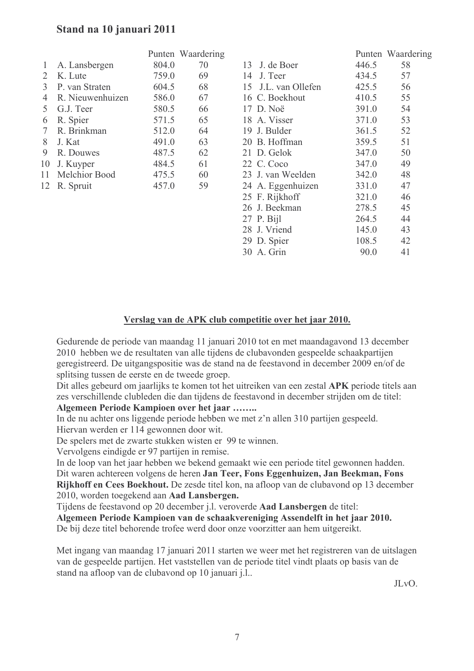### Stand na 10 januari 2011

|                |                  |       | Punten Waardering |
|----------------|------------------|-------|-------------------|
| 1              | A. Lansbergen    | 804.0 | 70                |
| 2              | K. Lute          | 759.0 | 69                |
| 3              | P. van Straten   | 604.5 | 68                |
| $\overline{4}$ | R. Nieuwenhuizen | 586.0 | 67                |
| 5              | G.J. Teer        | 580.5 | 66                |
| 6              | R. Spier         | 571.5 | 65                |
| $\overline{7}$ | R. Brinkman      | 512.0 | 64                |
| 8              | J. Kat           | 491.0 | 63                |
| 9              | R. Douwes        | 487.5 | 62                |
| 10             | J. Kuyper        | 484.5 | 61                |
|                | 11 Melchior Bood | 475.5 | 60                |
| 12             | R. Spruit        | 457.0 | 59                |
|                |                  |       |                   |
|                |                  |       |                   |
|                |                  |       |                   |

|                     |       | Punten Waardering |
|---------------------|-------|-------------------|
| 13 J. de Boer       | 446.5 | 58                |
| 14 J. Teer          | 434.5 | 57                |
| 15 J.L. van Ollefen | 425.5 | 56                |
| 16 C. Boekhout      | 410.5 | 55                |
| 17 D. Noë           | 391.0 | 54                |
| 18 A. Visser        | 371.0 | 53                |
| 19 J. Bulder        | 361.5 | 52                |
| 20 B. Hoffman       | 359.5 | 51                |
| 21 D. Gelok         | 347.0 | 50                |
| 22 C. Coco          | 347.0 | 49                |
| 23 J. van Weelden   | 342.0 | 48                |
| 24 A. Eggenhuizen   | 331.0 | 47                |
| 25 F. Rijkhoff      | 321.0 | 46                |
| 26 J. Beekman       | 278.5 | 45                |
| 27 P. Bijl          | 264.5 | 44                |
| 28 J. Vriend        | 145.0 | 43                |
| 29 D. Spier         | 108.5 | 42                |
| 30 A. Grin          | 90.0  | 41                |
|                     |       |                   |

#### Verslag van de APK club competitie over het jaar 2010.

Gedurende de periode van maandag 11 januari 2010 tot en met maandagavond 13 december 2010 hebben we de resultaten van alle tijdens de clubavonden gespeelde schaakpartijen geregistreerd. De uitgangspositie was de stand na de feestavond in december 2009 en/of de splitsing tussen de eerste en de tweede groep.

Dit alles gebeurd om jaarlijks te komen tot het uitreiken van een zestal APK periode titels aan zes verschillende clubleden die dan tijdens de feestavond in december strijden om de titel:

Algemeen Periode Kampioen over het jaar ........

In de nu achter ons liggende periode hebben we met z'n allen 310 partijen gespeeld. Hiervan werden er 114 gewonnen door wit.

De spelers met de zwarte stukken wisten er 99 te winnen.

Vervolgens eindigde er 97 partijen in remise.

In de loop van het jaar hebben we bekend gemaakt wie een periode titel gewonnen hadden. Dit waren achtereen volgens de heren Jan Teer, Fons Eggenhuizen, Jan Beekman, Fons Rijkhoff en Cees Boekhout. De zesde titel kon, na afloop van de clubavond op 13 december 2010, worden toegekend aan Aad Lansbergen.

Tijdens de feestavond op 20 december j.l. veroverde Aad Lansbergen de titel:

Algemeen Periode Kampioen van de schaakvereniging Assendelft in het jaar 2010. De bij deze titel behorende trofee werd door onze voorzitter aan hem uitgereikt.

Met ingang van maandag 17 januari 2011 starten we weer met het registreren van de uitslagen van de gespeelde partijen. Het vaststellen van de periode titel vindt plaats op basis van de stand na afloop van de clubavond op 10 januari j.l.

 $JLvO.$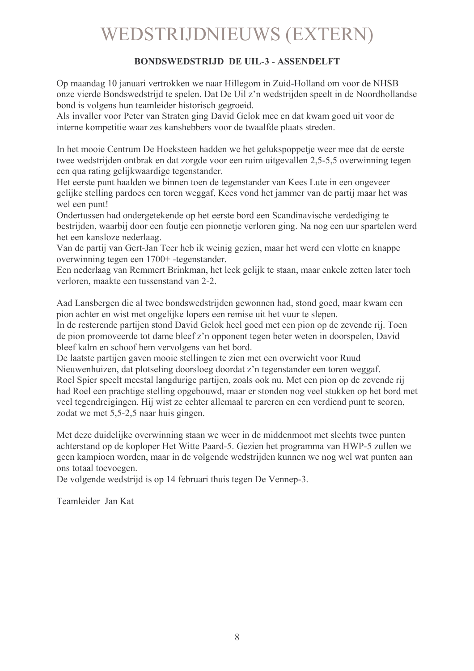# **WEDSTRIJDNIEUWS (EXTERN)**

#### **BONDSWEDSTRLID DE UIL-3 - ASSENDELFT**

Op maandag 10 januari vertrokken we naar Hillegom in Zuid-Holland om voor de NHSB onze vierde Bondswedstrijd te spelen. Dat De Uil z'n wedstrijden speelt in de Noordhollandse bond is volgens hun teamleider historisch gegroeid.

Als invaller voor Peter van Straten ging David Gelok mee en dat kwam goed uit voor de interne kompetitie waar zes kanshebbers voor de twaalfde plaats streden.

In het mooie Centrum De Hoeksteen hadden we het gelukspoppetie weer mee dat de eerste twee wedstrijden ontbrak en dat zorgde voor een ruim uitgevallen 2,5-5,5 overwinning tegen een qua rating gelijkwaardige tegenstander.

Het eerste punt haalden we binnen toen de tegenstander van Kees Lute in een ongeveer gelijke stelling pardoes een toren weggaf. Kees vond het jammer van de partij maar het was wel een punt!

Ondertussen had ondergetekende op het eerste bord een Scandinavische verdediging te bestrijden, waarbij door een foutje een pionnetje verloren ging. Na nog een uur spartelen werd het een kansloze nederlaag.

Van de partij van Gert-Jan Teer heb ik weinig gezien, maar het werd een vlotte en knappe overwinning tegen een 1700+-tegenstander.

Een nederlaag van Remmert Brinkman, het leek gelijk te staan, maar enkele zetten later toch verloren, maakte een tussenstand van 2-2.

Aad Lansbergen die al twee bondswedstrijden gewonnen had, stond goed, maar kwam een pion achter en wist met ongelijke lopers een remise uit het vuur te slepen.

In de resterende partijen stond David Gelok heel goed met een pion op de zevende rij. Toen de pion promoveerde tot dame bleef z'n opponent tegen beter weten in doorspelen. David bleef kalm en schoof hem vervolgens van het bord.

De laatste partijen gaven mooie stellingen te zien met een overwicht voor Ruud Nieuwenhuizen, dat plotseling doorsloeg doordat z'n tegenstander een toren weggaf. Roel Spier speelt meestal langdurige partijen, zoals ook nu. Met een pion op de zevende rij had Roel een prachtige stelling opgebouwd, maar er stonden nog veel stukken op het bord met veel tegendreigingen. Hij wist ze echter allemaal te pareren en een verdiend punt te scoren, zodat we met 5,5-2,5 naar huis gingen.

Met deze duidelijke overwinning staan we weer in de middenmoot met slechts twee punten achterstand op de koploper Het Witte Paard-5. Gezien het programma van HWP-5 zullen we geen kampioen worden, maar in de volgende wedstrijden kunnen we nog wel wat punten aan ons totaal toevoegen.

De volgende wedstrijd is op 14 februari thuis tegen De Vennep-3.

Teamleider Jan Kat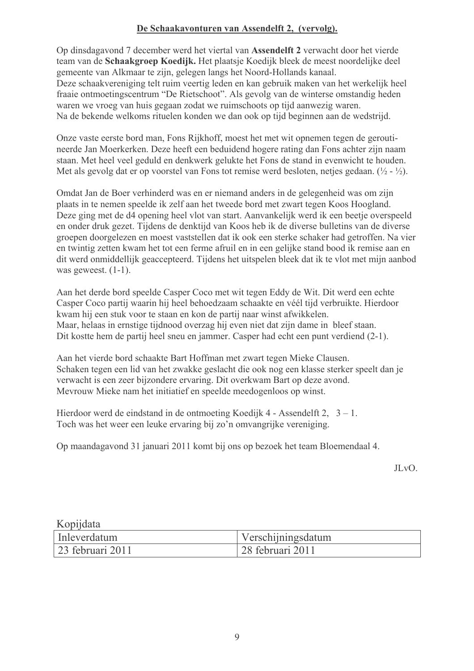#### De Schaakavonturen van Assendelft 2, (vervolg).

Op dinsdagavond 7 december werd het viertal van Assendelft 2 verwacht door het vierde team van de Schaakgroep Koedijk. Het plaatsje Koedijk bleek de meest noordelijke deel gemeente van Alkmaar te zijn, gelegen langs het Noord-Hollands kanaal. Deze schaakvereniging telt ruim veertig leden en kan gebruik maken van het werkelijk heel fraaie ontmoetingscentrum "De Rietschoot". Als gevolg van de winterse omstandig heden waren we vroeg van huis gegaan zodat we ruimschoots op tijd aanwezig waren. Na de bekende welkoms rituelen konden we dan ook op tijd beginnen aan de wedstrijd.

Onze vaste eerste bord man, Fons Rijkhoff, moest het met wit opnemen tegen de geroutineerde Jan Moerkerken. Deze heeft een beduidend hogere rating dan Fons achter zijn naam staan. Met heel veel geduld en denkwerk gelukte het Fons de stand in evenwicht te houden. Met als gevolg dat er op voorstel van Fons tot remise werd besloten, netjes gedaan.  $(\frac{1}{2} - \frac{1}{2})$ .

Omdat Jan de Boer verhinderd was en er niemand anders in de gelegenheid was om zijn plaats in te nemen speelde ik zelf aan het tweede bord met zwart tegen Koos Hoogland. Deze ging met de d4 opening heel vlot van start. Aanvankelijk werd ik een beetje overspeeld en onder druk gezet. Tijdens de denktijd van Koos heb ik de diverse bulletins van de diverse groepen doorgelezen en moest vaststellen dat ik ook een sterke schaker had getroffen. Na vier en twintig zetten kwam het tot een ferme afruil en in een gelijke stand bood ik remise aan en dit werd onmiddellijk geaccepteerd. Tijdens het uitspelen bleek dat ik te vlot met mijn aanbod was geweest.  $(1-1)$ .

Aan het derde bord speelde Casper Coco met wit tegen Eddy de Wit. Dit werd een echte Casper Coco partij waarin hij heel behoedzaam schaakte en véél tijd verbruikte. Hierdoor kwam hij een stuk voor te staan en kon de partij naar winst afwikkelen. Maar, helaas in ernstige tijdnood overzag hij even niet dat zijn dame in bleef staan. Dit kostte hem de partij heel sneu en jammer. Casper had echt een punt verdiend (2-1).

Aan het vierde bord schaakte Bart Hoffman met zwart tegen Mieke Clausen. Schaken tegen een lid van het zwakke geslacht die ook nog een klasse sterker speelt dan je verwacht is een zeer bijzondere ervaring. Dit overkwam Bart op deze avond. Mevrouw Mieke nam het initiatief en speelde meedogenloos op winst.

Hierdoor werd de eindstand in de ontmoeting Koedijk 4 - Assendelft 2,  $3 - 1$ . Toch was het weer een leuke ervaring bij zo'n omvangrijke vereniging.

Op maandagavond 31 januari 2011 komt bij ons op bezoek het team Bloemendaal 4.

JLvO.

| Kopijdata        |                    |
|------------------|--------------------|
| Inleverdatum     | Verschijningsdatum |
| 23 februari 2011 | 28 februari 2011   |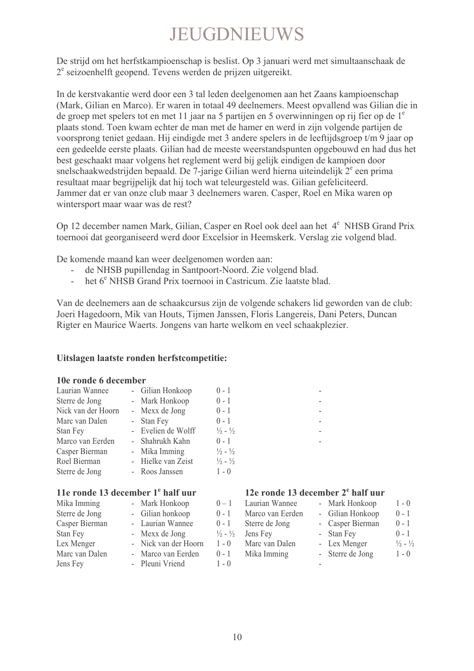# **JEUGDNIEUWS**

De strijd om het herfstkampioenschap is beslist. Op 3 januari werd met simultaanschaak de  $2^e$  seizoenhelft geopend. Tevens werden de prijzen uitgereikt.

In de kerstvakantie werd door een 3 tal leden deelgenomen aan het Zaans kampioenschap (Mark, Gilian en Marco). Er waren in totaal 49 deelnemers. Meest opvallend was Gilian die in de groep met spelers tot en met 11 jaar na 5 partijen en 5 overwinningen op rij fier op de 1<sup>e</sup> plaats stond. Toen kwam echter de man met de hamer en werd in zijn volgende partijen de voorsprong teniet gedaan. Hij eindigde met 3 andere spelers in de leeftijdsgroep t/m 9 jaar op een gedeelde eerste plaats. Gilian had de meeste weerstandspunten opgebouwd en had dus het best geschaakt maar volgens het reglement werd bij gelijk eindigen de kampioen door snelschaakwedstrijden bepaald. De 7-jarige Gilian werd hierna uiteindelijk 2<sup>e</sup> een prima resultaat maar begrijpelijk dat hij toch wat teleurgesteld was. Gilian gefeliciteerd. Jammer dat er van onze club maar 3 deelnemers waren. Casper, Roel en Mika waren op wintersport maar waar was de rest?

Op 12 december namen Mark, Gilian, Casper en Roel ook deel aan het 4<sup>e</sup> NHSB Grand Prix toernooi dat georganiseerd werd door Excelsior in Heemskerk. Verslag zie volgend blad.

De komende maand kan weer deelgenomen worden aan:

- de NHSB pupillendag in Santpoort-Noord. Zie volgend blad.
- het  $6^e$  NHSB Grand Prix toernooi in Castricum. Zie laatste blad.

Van de deelnemers aan de schaakcursus zijn de volgende schakers lid geworden van de club: Joeri Hagedoorn, Mik van Houts, Tijmen Janssen, Floris Langereis, Dani Peters, Duncan Rigter en Maurice Waerts. Jongens van harte welkom en veel schaakplezier.

#### Uitslagen laatste ronden herfstcompetitie:

#### 10e ronde 6 december

| Laurian Wannee     | - Gilian Honkoop   | $0 - 1$                     |
|--------------------|--------------------|-----------------------------|
| Sterre de Jong     | - Mark Honkoop     | $0 - 1$                     |
| Nick van der Hoorn | - Mexx de Jong     | $0 - 1$                     |
| Marc van Dalen     | - Stan Fey         | $0 - 1$                     |
| Stan Fey           | - Evelien de Wolff | $\frac{1}{2} - \frac{1}{2}$ |
| Marco van Eerden   | - Shahrukh Kahn    | $0 - 1$                     |
| Casper Bierman     | - Mika Imming      | $\frac{1}{2} - \frac{1}{2}$ |
| Roel Bierman       | - Hielke van Zeist | $\frac{1}{2} - \frac{1}{2}$ |
| Sterre de Jong     | - Roos Janssen     | $1 - 0$                     |

#### 11e ronde 13 december 1<sup>e</sup> half uur

| Mika Imming    | - Mark Honkoop       | $0 - 1$                     | -1             |
|----------------|----------------------|-----------------------------|----------------|
| Sterre de Jong | - Gilian honkoop     | $0 - 1$                     | -1             |
| Casper Bierman | - Laurian Wannee     | $0 - 1$                     | $\ddot{\cdot}$ |
| Stan Fey       | - Mexx de Jong       | $\frac{1}{2} - \frac{1}{2}$ |                |
| Lex Menger     | - Nick van der Hoorn | $1 - 0$                     | I              |
| Marc van Dalen | - Marco van Eerden   | $0 - 1$                     | $\mathbf l$    |
| Jens Fey       | - Pleuni Vriend      | $1 - 0$                     |                |
|                |                      |                             |                |

#### 12e ronde 13 december 2<sup>e</sup> half uur

| $0 - 1$                     | Laurian Wannee   | - Mark Honkoop   | $1 - 0$                     |
|-----------------------------|------------------|------------------|-----------------------------|
| $0 - 1$                     | Marco van Eerden | - Gilian Honkoop | $0 - 1$                     |
| $0 - 1$                     | Sterre de Jong   | - Casper Bierman | $0 - 1$                     |
| $\frac{1}{2} - \frac{1}{2}$ | Jens Fey         | - Stan Fey       | $0 - 1$                     |
| $1 - 0$                     | Marc van Dalen   | - Lex Menger     | $\frac{1}{2} - \frac{1}{2}$ |
| $0 - 1$                     | Mika Imming      | - Sterre de Jong | $1 - 0$                     |
| $1 - 0$                     |                  |                  |                             |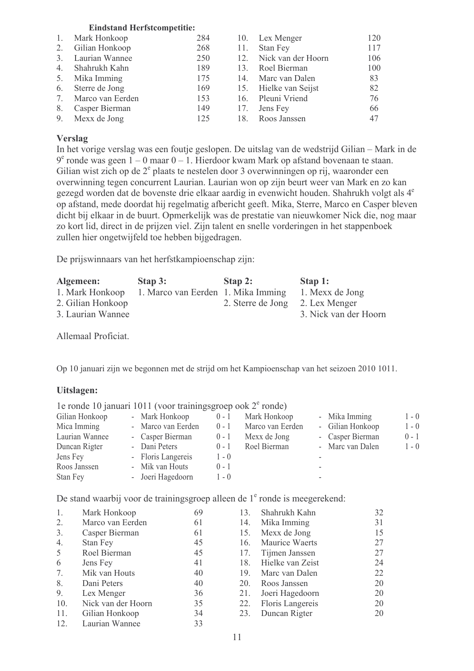#### **Eindstand Herfstcompetitie:**

| 1.           | Mark Honkoop     | 284 |     | 10. Lex Menger        | 120 |
|--------------|------------------|-----|-----|-----------------------|-----|
| 2.           | Gilian Honkoop   | 268 | 11. | Stan Fey              | 117 |
| 3.           | Laurian Wannee   | 250 | 12. | Nick van der Hoorn    | 106 |
| $4_{\ldots}$ | Shahrukh Kahn    | 189 |     | 13. Roel Bierman      | 100 |
| 5.           | Mika Imming      | 175 |     | 14. Marc van Dalen    | 83  |
| 6.           | Sterre de Jong   | 169 |     | 15. Hielke van Seijst | 82  |
| 7.           | Marco van Eerden | 153 |     | 16. Pleuni Vriend     | 76  |
| 8.           | Casper Bierman   | 149 |     | 17. Jens Fey          | 66  |
|              | 9. Mexx de Jong  | 125 | 18. | Roos Janssen          | 47  |

#### Verslag

In het vorige verslag was een foutje geslopen. De uitslag van de wedstrijd Gilian – Mark in de  $9^e$  ronde was geen  $1 - 0$  maar  $0 - 1$ . Hierdoor kwam Mark op afstand bovenaan te staan. Gilian wist zich op de  $2^e$  plaats te nestelen door 3 overwinningen op rij, waaronder een overwinning tegen concurrent Laurian. Laurian won op zijn beurt weer van Mark en zo kan gezegd worden dat de bovenste drie elkaar aardig in evenwicht houden. Shahrukh volgt als 4<sup>e</sup> op afstand, mede doordat hij regelmatig afbericht geeft. Mika, Sterre, Marco en Casper bleven dicht bij elkaar in de buurt. Opmerkelijk was de prestatie van nieuwkomer Nick die, nog maar zo kort lid, direct in de prijzen viel. Zijn talent en snelle vorderingen in het stappenboek zullen hier ongetwijfeld toe hebben bijgedragen.

De prijswinnaars van het herfstkampioenschap zijn:

| Algemeen:         | Stap 3:                            | Stap 2:                         | Stap 1:               |
|-------------------|------------------------------------|---------------------------------|-----------------------|
| 1. Mark Honkoop   | 1. Marco van Eerden 1. Mika Imming |                                 | 1. Mexx de Jong       |
| 2. Gilian Honkoop |                                    | 2. Sterre de Jong 2. Lex Menger |                       |
| 3. Laurian Wannee |                                    |                                 | 3. Nick van der Hoorn |

Allemaal Proficiat.

Op 10 januari zijn we begonnen met de strijd om het Kampioenschap van het seizoen 2010 1011.

#### Uitslagen:

|                | 1e ronde 10 januari 1011 (voor trainingsgroep ook $2^e$ ronde) |         |                  |                  |         |
|----------------|----------------------------------------------------------------|---------|------------------|------------------|---------|
| Gilian Honkoop | - Mark Honkoop                                                 | $0 - 1$ | Mark Honkoop     | - Mika Imming    | $1 - 0$ |
| Mica Imming    | - Marco van Eerden                                             | $0 - 1$ | Marco van Eerden | - Gilian Honkoop | $1 - 0$ |
| Laurian Wannee | - Casper Bierman                                               | $0 - 1$ | Mexx de Jong     | - Casper Bierman | $0 - 1$ |
| Duncan Rigter  | - Dani Peters                                                  | $0 - 1$ | Roel Bierman     | - Marc van Dalen | $1 - 0$ |
| Jens Fey       | - Floris Langereis                                             | $1 - 0$ |                  |                  |         |
| Roos Janssen   | - Mik van Houts                                                | $0 - 1$ |                  | ۰                |         |
| Stan Fey       | - Joeri Hagedoorn                                              | $1 - 0$ |                  | -                |         |

De stand waarbij voor de trainingsgroep alleen de 1<sup>e</sup> ronde is meegerekend:

| 1.  | Mark Honkoop       | 69 | 13. | Shahrukh Kahn    | 32 |
|-----|--------------------|----|-----|------------------|----|
| 2.  | Marco van Eerden   | 61 | 14. | Mika Imming      | 31 |
| 3.  | Casper Bierman     | 61 | 15. | Mexx de Jong     | 15 |
| 4.  | Stan Fey           | 45 | 16. | Maurice Waerts   | 27 |
| 5   | Roel Bierman       | 45 | 17. | Tijmen Janssen   | 27 |
| 6   | Jens Fey           | 41 | 18. | Hielke van Zeist | 24 |
| 7.  | Mik van Houts      | 40 | 19. | Marc van Dalen   | 22 |
| 8.  | Dani Peters        | 40 | 20. | Roos Janssen     | 20 |
| 9.  | Lex Menger         | 36 | 21. | Joeri Hagedoorn  | 20 |
| 10. | Nick van der Hoorn | 35 | 22. | Floris Langereis | 20 |
| 11. | Gilian Honkoop     | 34 | 23. | Duncan Rigter    | 20 |
| 12. | Laurian Wannee     | 33 |     |                  |    |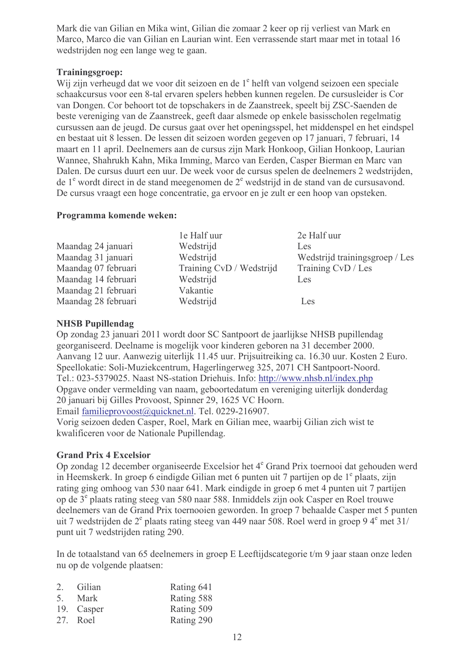Mark die van Gilian en Mika wint, Gilian die zomaar 2 keer op rij verliest van Mark en Marco, Marco die van Gilian en Laurian wint. Een verrassende start maar met in totaal 16 wedstrijden nog een lange weg te gaan.

#### Trainingsgroep:

Wij zijn verheugd dat we voor dit seizoen en de 1<sup>e</sup> helft van volgend seizoen een speciale schaakcursus voor een 8-tal ervaren spelers hebben kunnen regelen. De cursusleider is Cor van Dongen. Cor behoort tot de topschakers in de Zaanstreek, speelt bij ZSC-Saenden de beste vereniging van de Zaanstreek, geeft daar alsmede op enkele basisscholen regelmatig cursussen aan de jeugd. De cursus gaat over het openingsspel, het middenspel en het eindspel en bestaat uit 8 lessen. De lessen dit seizoen worden gegeven op 17 januari, 7 februari, 14 maart en 11 april. Deelnemers aan de cursus zijn Mark Honkoop, Gilian Honkoop, Laurian Wannee, Shahrukh Kahn, Mika Imming, Marco van Eerden, Casper Bierman en Marc van Dalen. De cursus duurt een uur. De week voor de cursus spelen de deelnemers 2 wedstrijden, de  $1<sup>e</sup>$  wordt direct in de stand meegenomen de  $2<sup>e</sup>$  wedstrijd in de stand van de cursus avond. De cursus vraagt een hoge concentratie, ga ervoor en je zult er een hoop van opsteken.

#### Programma komende weken:

|                     | le Half uur              | 2e Half uur                    |
|---------------------|--------------------------|--------------------------------|
| Maandag 24 januari  | Wedstrijd                | Les                            |
| Maandag 31 januari  | Wedstrijd                | Wedstrijd trainingsgroep / Les |
| Maandag 07 februari | Training CvD / Wedstrijd | Training CvD / Les             |
| Maandag 14 februari | Wedstrijd                | Les                            |
| Maandag 21 februari | Vakantie                 |                                |
| Maandag 28 februari | Wedstrijd                | Les                            |

#### **NHSB Pupillendag**

Op zondag 23 januari 2011 wordt door SC Santpoort de jaarlijkse NHSB pupillendag georganiseerd. Deelname is mogelijk voor kinderen geboren na 31 december 2000. Aanvang 12 uur. Aanwezig uiterlijk 11.45 uur. Prijsuitreiking ca. 16.30 uur. Kosten 2 Euro. Speellokatie: Soli-Muziekcentrum, Hagerlingerweg 325, 2071 CH Santpoort-Noord. Tel.: 023-5379025. Naast NS-station Driehuis. Info: http://www.nhsb.nl/index.php Opgave onder vermelding van naam, geboortedatum en vereniging uiterlijk donderdag 20 januari bij Gilles Provoost, Spinner 29, 1625 VC Hoorn.

Email familieprovoost@quicknet.nl. Tel. 0229-216907.

Vorig seizoen deden Casper, Roel, Mark en Gilian mee, waarbij Gilian zich wist te kwalificeren voor de Nationale Pupillendag.

#### **Grand Prix 4 Excelsior**

Op zondag 12 december organiseerde Excelsior het 4<sup>e</sup> Grand Prix toernooi dat gehouden werd in Heemskerk. In groep 6 eindigde Gilian met 6 punten uit 7 partijen op de 1<sup>e</sup> plaats, zijn rating ging omhoog van 530 naar 641. Mark eindigde in groep 6 met 4 punten uit 7 partijen on de 3<sup>e</sup> plaats rating steeg van 580 naar 588. Inmiddels zijn ook Casper en Roel trouwe deelnemers van de Grand Prix toernooien geworden. In groep 7 behaalde Casper met 5 punten uit 7 wedstrijden de  $2^e$  plaats rating steeg van 449 naar 508. Roel werd in groep 94 $^e$  met 31/ punt uit 7 wedstrijden rating 290.

In de totaalstand van 65 deelnemers in groep E Leeftijdscategorie t/m 9 jaar staan onze leden nu op de volgende plaatsen:

| 2. Gilian  | Rating 641 |
|------------|------------|
| 5. Mark    | Rating 588 |
| 19. Casper | Rating 509 |
| 27. Roel   | Rating 290 |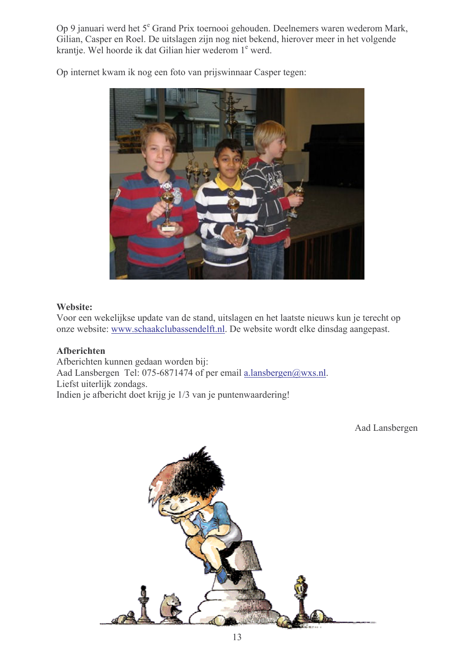Op 9 januari werd het 5<sup>e</sup> Grand Prix toernooi gehouden. Deelnemers waren wederom Mark, Gilian, Casper en Roel. De uitslagen zijn nog niet bekend, hierover meer in het volgende krantje. Wel hoorde ik dat Gilian hier wederom 1<sup>e</sup> werd.



Op internet kwam ik nog een foto van prijswinnaar Casper tegen:

#### Website:

Voor een wekelijkse update van de stand, uitslagen en het laatste nieuws kun je terecht op onze website: www.schaakclubassendelft.nl. De website wordt elke dinsdag aangepast.

#### Afberichten

Afberichten kunnen gedaan worden bij: Aad Lansbergen Tel: 075-6871474 of per email a.lansbergen@wxs.nl. Liefst uiterlijk zondags. Indien je afbericht doet krijg je 1/3 van je puntenwaardering!

Aad Lansbergen